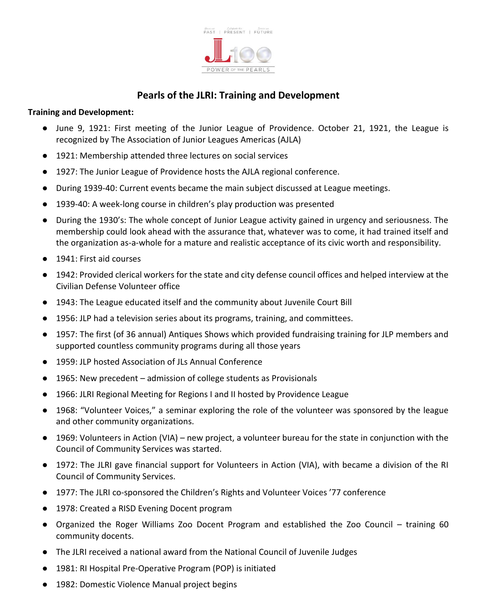

## **Pearls of the JLRI: Training and Development**

## **Training and Development:**

- June 9, 1921: First meeting of the Junior League of Providence. October 21, 1921, the League is recognized by The Association of Junior Leagues Americas (AJLA)
- 1921: Membership attended three lectures on social services
- 1927: The Junior League of Providence hosts the AJLA regional conference.
- During 1939-40: Current events became the main subject discussed at League meetings.
- 1939-40: A week-long course in children's play production was presented
- During the 1930's: The whole concept of Junior League activity gained in urgency and seriousness. The membership could look ahead with the assurance that, whatever was to come, it had trained itself and the organization as-a-whole for a mature and realistic acceptance of its civic worth and responsibility.
- 1941: First aid courses
- 1942: Provided clerical workers for the state and city defense council offices and helped interview at the Civilian Defense Volunteer office
- 1943: The League educated itself and the community about Juvenile Court Bill
- 1956: JLP had a television series about its programs, training, and committees.
- 1957: The first (of 36 annual) Antiques Shows which provided fundraising training for JLP members and supported countless community programs during all those years
- 1959: JLP hosted Association of JLs Annual Conference
- 1965: New precedent admission of college students as Provisionals
- 1966: JLRI Regional Meeting for Regions I and II hosted by Providence League
- 1968: "Volunteer Voices," a seminar exploring the role of the volunteer was sponsored by the league and other community organizations.
- 1969: Volunteers in Action (VIA) new project, a volunteer bureau for the state in conjunction with the Council of Community Services was started.
- 1972: The JLRI gave financial support for Volunteers in Action (VIA), with became a division of the RI Council of Community Services.
- 1977: The JLRI co-sponsored the Children's Rights and Volunteer Voices '77 conference
- 1978: Created a RISD Evening Docent program
- Organized the Roger Williams Zoo Docent Program and established the Zoo Council training 60 community docents.
- The JLRI received a national award from the National Council of Juvenile Judges
- 1981: RI Hospital Pre-Operative Program (POP) is initiated
- 1982: Domestic Violence Manual project begins